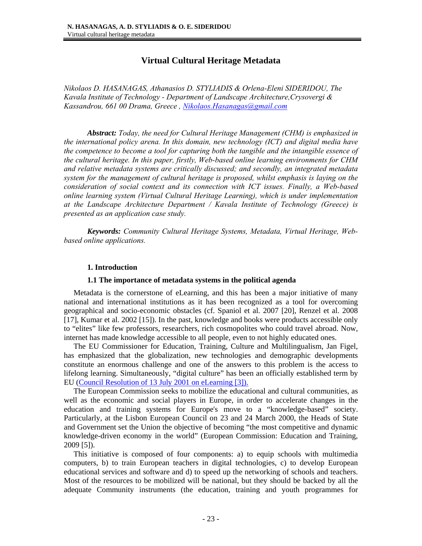# **Virtual Cultural Heritage Metadata**

*Nikolaos D. HASANAGAS, Athanasios D. STYLIADIS & Orlena-Eleni SIDERIDOU, The Kavala Institute of Technology - Department of Landscape Architecture,Crysovergi &*  Kassandrou, 661 00 Drama, Greece, Nikolaos. Hasanagas@gmail.com

*Abstract: Today, the need for Cultural Heritage Management (CHM) is emphasized in the international policy arena. In this domain, new technology (ICT) and digital media have the competence to become a tool for capturing both the tangible and the intangible essence of the cultural heritage. In this paper, firstly, Web-based online learning environments for CHM and relative metadata systems are critically discussed; and secondly, an integrated metadata system for the management of cultural heritage is proposed, whilst emphasis is laying on the consideration of social context and its connection with ICT issues. Finally, a Web-based online learning system (Virtual Cultural Heritage Learning), which is under implementation at the Landscape Architecture Department / Kavala Institute of Technology (Greece) is presented as an application case study.* 

*Keywords: Community Cultural Heritage Systems, Metadata, Virtual Heritage, Webbased online applications.* 

## **1. Introduction**

#### **1.1 The importance of metadata systems in the political agenda**

 Metadata is the cornerstone of eLearning, and this has been a major initiative of many national and international institutions as it has been recognized as a tool for overcoming geographical and socio-economic obstacles (cf. Spaniol et al. 2007 [20], Renzel et al. 2008 [17], Kumar et al. 2002 [15]). In the past, knowledge and books were products accessible only to "elites" like few professors, researchers, rich cosmopolites who could travel abroad. Now, internet has made knowledge accessible to all people, even to not highly educated ones.

 The EU Commissioner for Education, Training, Culture and Multilingualism, Jan Figel, has emphasized that the globalization, new technologies and demographic developments constitute an enormous challenge and one of the answers to this problem is the access to lifelong learning. Simultaneously, "digital culture" has been an officially established term by EU (Council Resolution of 13 July 2001 on eLearning [3]).

 The European Commission seeks to mobilize the educational and cultural communities, as well as the economic and social players in Europe, in order to accelerate changes in the education and training systems for Europe's move to a "knowledge-based" society. Particularly, at the Lisbon European Council on 23 and 24 March 2000, the Heads of State and Government set the Union the objective of becoming "the most competitive and dynamic knowledge-driven economy in the world" (European Commission: Education and Training, 2009 [5]).

 This initiative is composed of four components: a) to equip schools with multimedia computers, b) to train European teachers in digital technologies, c) to develop European educational services and software and d) to speed up the networking of schools and teachers. Most of the resources to be mobilized will be national, but they should be backed by all the adequate Community instruments (the education, training and youth programmes for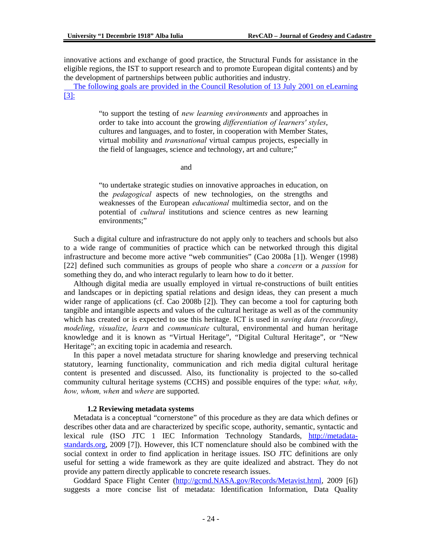innovative actions and exchange of good practice, the Structural Funds for assistance in the eligible regions, the IST to support research and to promote European digital contents) and by the development of partnerships between public authorities and industry.

 The following goals are provided in the Council Resolution of 13 July 2001 on eLearning [3]:

> "to support the testing of *new learning environments* and approaches in order to take into account the growing *differentiation of learners' styles*, cultures and languages, and to foster, in cooperation with Member States, virtual mobility and *transnational* virtual campus projects, especially in the field of languages, science and technology, art and culture;"

and

"to undertake strategic studies on innovative approaches in education, on the *pedagogical* aspects of new technologies, on the strengths and weaknesses of the European *educational* multimedia sector, and on the potential of *cultural* institutions and science centres as new learning environments;"

 Such a digital culture and infrastructure do not apply only to teachers and schools but also to a wide range of communities of practice which can be networked through this digital infrastructure and become more active "web communities" (Cao 2008a [1]). Wenger (1998) [22] defined such communities as groups of people who share a *concern* or a *passion* for something they do, and who interact regularly to learn how to do it better.

 Although digital media are usually employed in virtual re-constructions of built entities and landscapes or in depicting spatial relations and design ideas, they can present a much wider range of applications (cf. Cao 2008b [2]). They can become a tool for capturing both tangible and intangible aspects and values of the cultural heritage as well as of the community which has created or is expected to use this heritage. ICT is used in *saving data (recording)*, *modeling*, *visualize*, *learn* and *communicate* cultural, environmental and human heritage knowledge and it is known as "Virtual Heritage", "Digital Cultural Heritage", or "New Heritage"; an exciting topic in academia and research.

 In this paper a novel metadata structure for sharing knowledge and preserving technical statutory, learning functionality, communication and rich media digital cultural heritage content is presented and discussed. Also, its functionality is projected to the so-called community cultural heritage systems (CCHS) and possible enquires of the type: *what, why, how, whom, when* and *where* are supported.

#### **1.2 Reviewing metadata systems**

 Metadata is a conceptual "cornerstone" of this procedure as they are data which defines or describes other data and are characterized by specific scope, authority, semantic, syntactic and lexical rule (ISO JTC 1 IEC Information Technology Standards, http://metadatastandards.org, 2009 [7]). However, this ICT nomenclature should also be combined with the social context in order to find application in heritage issues. ISO JTC definitions are only useful for setting a wide framework as they are quite idealized and abstract. They do not provide any pattern directly applicable to concrete research issues.

 Goddard Space Flight Center (http://gcmd.NASA.gov/Records/Metavist.html, 2009 [6]) suggests a more concise list of metadata: Identification Information, Data Quality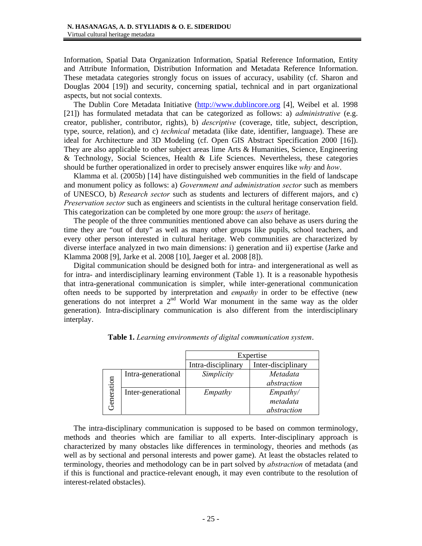Information, Spatial Data Organization Information, Spatial Reference Information, Entity and Attribute Information, Distribution Information and Metadata Reference Information. These metadata categories strongly focus on issues of accuracy, usability (cf. Sharon and Douglas 2004 [19]) and security, concerning spatial, technical and in part organizational aspects, but not social contexts.

 The Dublin Core Metadata Initiative (http://www.dublincore.org [4], Weibel et al. 1998 [21]) has formulated metadata that can be categorized as follows: a) *administrative* (e.g. creator, publisher, contributor, rights), b) *descriptive* (coverage, title, subject, description, type, source, relation), and c) *technical* metadata (like date, identifier, language). These are ideal for Architecture and 3D Modeling (cf. Open GIS Abstract Specification 2000 [16]). They are also applicable to other subject areas lime Arts & Humanities, Science, Engineering & Technology, Social Sciences, Health & Life Sciences. Nevertheless, these categories should be further operationalized in order to precisely answer enquires like *why* and *how*.

 Klamma et al. (2005b) [14] have distinguished web communities in the field of landscape and monument policy as follows: a) *Government and administration sector* such as members of UNESCO, b) *Research sector* such as students and lecturers of different majors, and c) *Preservation sector* such as engineers and scientists in the cultural heritage conservation field. This categorization can be completed by one more group: the *users* of heritage.

 The people of the three communities mentioned above can also behave as users during the time they are "out of duty" as well as many other groups like pupils, school teachers, and every other person interested in cultural heritage. Web communities are characterized by diverse interface analyzed in two main dimensions: i) generation and ii) expertise (Jarke and Klamma 2008 [9], Jarke et al. 2008 [10], Jaeger et al. 2008 [8]).

 Digital communication should be designed both for intra- and intergenerational as well as for intra- and interdisciplinary learning environment (Table 1). It is a reasonable hypothesis that intra-generational communication is simpler, while inter-generational communication often needs to be supported by interpretation and *empathy* in order to be effective (new generations do not interpret a  $2<sup>nd</sup>$  World War monument in the same way as the older generation). Intra-disciplinary communication is also different from the interdisciplinary interplay.

|                   |                    | Expertise          |                    |  |
|-------------------|--------------------|--------------------|--------------------|--|
|                   |                    | Intra-disciplinary | Inter-disciplinary |  |
| <b>Jeneration</b> | Intra-generational | Simplicity         | Metadata           |  |
|                   |                    |                    | abstraction        |  |
|                   | Inter-generational | Empathy            | Empathy/           |  |
|                   |                    |                    | metadata           |  |
|                   |                    |                    | abstraction        |  |

**Table 1.** *Learning environments of digital communication system*.

 The intra-disciplinary communication is supposed to be based on common terminology, methods and theories which are familiar to all experts. Inter-disciplinary approach is characterized by many obstacles like differences in terminology, theories and methods (as well as by sectional and personal interests and power game). At least the obstacles related to terminology, theories and methodology can be in part solved by *abstraction* of metadata (and if this is functional and practice-relevant enough, it may even contribute to the resolution of interest-related obstacles).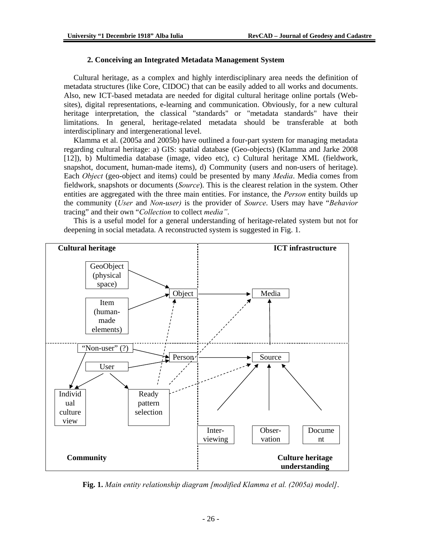## **2. Conceiving an Integrated Metadata Management System**

 Cultural heritage, as a complex and highly interdisciplinary area needs the definition of metadata structures (like Core, CIDOC) that can be easily added to all works and documents. Also, new ICT-based metadata are needed for digital cultural heritage online portals (Websites), digital representations, e-learning and communication. Obviously, for a new cultural heritage interpretation, the classical "standards" or "metadata standards" have their limitations. In general, heritage-related metadata should be transferable at both interdisciplinary and intergenerational level.

 Klamma et al. (2005a and 2005b) have outlined a four-part system for managing metadata regarding cultural heritage: a) GIS: spatial database (Geo-objects) (Klamma and Jarke 2008 [12]), b) Multimedia database (image, video etc), c) Cultural heritage XML (fieldwork, snapshot, document, human-made items), d) Community (users and non-users of heritage). Each *Object* (geo-object and items) could be presented by many *Media*. Media comes from fieldwork, snapshots or documents (*Source*). This is the clearest relation in the system. Other entities are aggregated with the three main entities. For instance, the *Person* entity builds up the community (*User* and *Non*-*user)* is the provider of *Source*. Users may have "*Behavior* tracing" and their own "*Collection* to collect *media"*.

 This is a useful model for a general understanding of heritage-related system but not for deepening in social metadata. A reconstructed system is suggested in Fig. 1.



**Fig. 1.** *Main entity relationship diagram [modified Klamma et al. (2005a) model]*.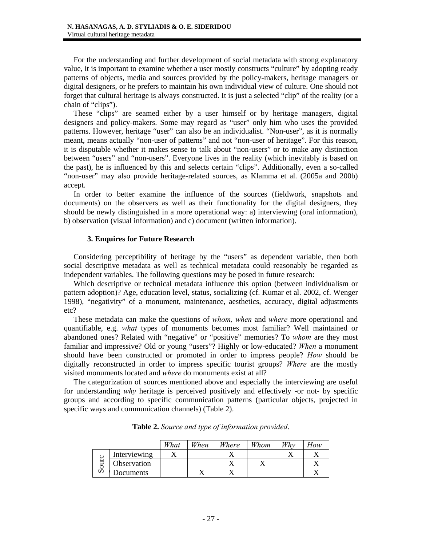For the understanding and further development of social metadata with strong explanatory value, it is important to examine whether a user mostly constructs "culture" by adopting ready patterns of objects, media and sources provided by the policy-makers, heritage managers or digital designers, or he prefers to maintain his own individual view of culture. One should not forget that cultural heritage is always constructed. It is just a selected "clip" of the reality (or a chain of "clips").

 These "clips" are seamed either by a user himself or by heritage managers, digital designers and policy-makers. Some may regard as "user" only him who uses the provided patterns. However, heritage "user" can also be an individualist. "Non-user", as it is normally meant, means actually "non-user of patterns" and not "non-user of heritage". For this reason, it is disputable whether it makes sense to talk about "non-users" or to make any distinction between "users" and "non-users". Everyone lives in the reality (which inevitably is based on the past), he is influenced by this and selects certain "clips". Additionally, even a so-called "non-user" may also provide heritage-related sources, as Klamma et al. (2005a and 200b) accept.

 In order to better examine the influence of the sources (fieldwork, snapshots and documents) on the observers as well as their functionality for the digital designers, they should be newly distinguished in a more operational way: a) interviewing (oral information), b) observation (visual information) and c) document (written information).

## **3. Enquires for Future Research**

 Considering perceptibility of heritage by the "users" as dependent variable, then both social descriptive metadata as well as technical metadata could reasonably be regarded as independent variables. The following questions may be posed in future research:

 Which descriptive or technical metadata influence this option (between individualism or pattern adoption)? Age, education level, status, socializing (cf. Kumar et al. 2002, cf. Wenger 1998), "negativity" of a monument, maintenance, aesthetics, accuracy, digital adjustments etc?

 These metadata can make the questions of *whom, when* and *where* more operational and quantifiable, e.g. *what* types of monuments becomes most familiar? Well maintained or abandoned ones? Related with "negative" or "positive" memories? To *whom* are they most familiar and impressive? Old or young "users"? Highly or low-educated? *When* a monument should have been constructed or promoted in order to impress people? *How* should be digitally reconstructed in order to impress specific tourist groups? *Where* are the mostly visited monuments located and *where* do monuments exist at all?

 The categorization of sources mentioned above and especially the interviewing are useful for understanding *why* heritage is perceived positively and effectively -or not- by specific groups and according to specific communication patterns (particular objects, projected in specific ways and communication channels) (Table 2).

|   |                    | What | When | Where | Whom | Whv | How |
|---|--------------------|------|------|-------|------|-----|-----|
| ∽ | Interviewing       |      |      | . .   |      |     |     |
|   | <b>Observation</b> |      |      |       |      |     |     |
|   | <b>Documents</b>   |      |      |       |      |     |     |

**Table 2.** *Source and type of information provided*.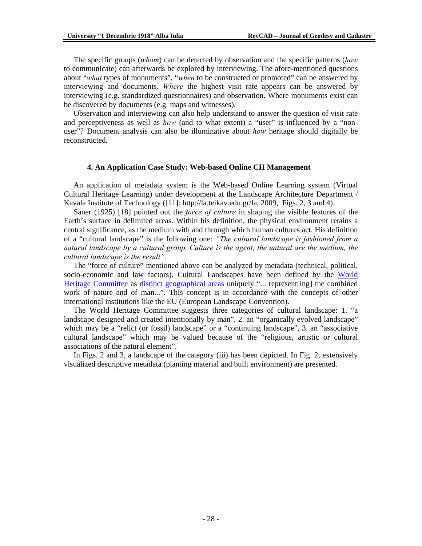The specific groups (*whom*) can be detected by observation and the specific patterns (*how* to communicate) can afterwards be explored by interviewing. The afore-mentioned questions about "*what* types of monuments", "*when* to be constructed or promoted" can be answered by interviewing and documents. *Where* the highest visit rate appears can be answered by interviewing (e.g. standardized questionnaires) and observation. Where monuments exist can be discovered by documents (e.g. maps and witnesses).

 Observation and interviewing can also help understand to answer the question of visit rate and perceptiveness as well as *how* (and to what extent) a "user" is influenced by a "nonuser"? Document analysis can also be illuminative about *how* heritage should digitally be reconstructed.

#### **4. An Application Case Study: Web-based Online CH Management**

 An application of metadata system is the Web-based Online Learning system (Virtual Cultural Heritage Learning) under development at the Landscape Architecture Department / Kavala Institute of Technology ([11]: http://la.teikav.edu.gr/la, 2009, Figs. 2, 3 and 4).

 Sauer (1925) [18] pointed out the *force of culture* in shaping the visible features of the Earth's surface in delimited areas. Within his definition, the physical environment retains a central significance, as the medium with and through which human cultures act. His definition of a "cultural landscape" is the following one: *"The cultural landscape is fashioned from a natural landscape by a cultural group. Culture is the agent, the natural are the medium, the cultural landscape is the result".*

 The "force of culture" mentioned above can be analyzed by metadata (technical, political, socio-economic and law factors). Cultural Landscapes have been defined by the World Heritage Committee as distinct geographical areas uniquely "... represent[ing] the combined work of nature and of man...". This concept is in accordance with the concepts of other international institutions like the EU (European Landscape Convention).

 The World Heritage Committee suggests three categories of cultural landscape: 1. "a landscape designed and created intentionally by man", 2. an "organically evolved landscape" which may be a "relict (or fossil) landscape" or a "continuing landscape", 3. an "associative cultural landscape" which may be valued because of the "religious, artistic or cultural associations of the natural element".

 In Figs. 2 and 3, a landscape of the category (iii) has been depicted. In Fig. 2, extensively visualized descriptive metadata (planting material and built environment) are presented.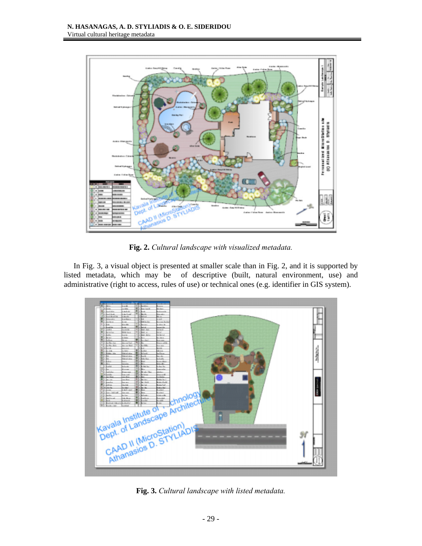

**Fig. 2.** *Cultural landscape with visualized metadata.*

 In Fig. 3, a visual object is presented at smaller scale than in Fig. 2, and it is supported by listed metadata, which may be of descriptive (built, natural environment, use) and administrative (right to access, rules of use) or technical ones (e.g. identifier in GIS system).



**Fig. 3.** *Cultural landscape with listed metadata.*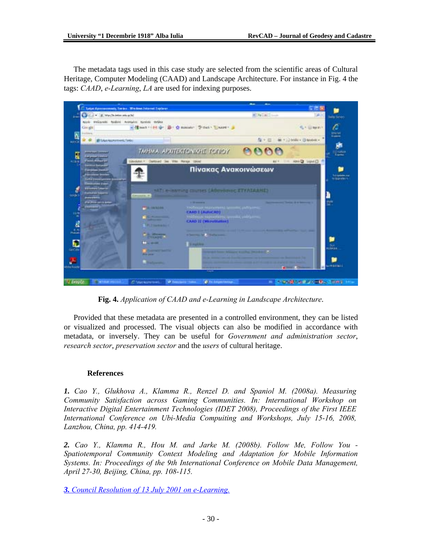The metadata tags used in this case study are selected from the scientific areas of Cultural Heritage, Computer Modeling (CAAD) and Landscape Architecture. For instance in Fig. 4 the tags: *CAAD*, *e-Learning*, *LA* are used for indexing purposes.



**Fig. 4.** *Application of CAAD and e-Learning in Landscape Architecture*.

 Provided that these metadata are presented in a controlled environment, they can be listed or visualized and processed. The visual objects can also be modified in accordance with metadata, or inversely. They can be useful for *Government and administration sector*, *research sector*, *preservation sector* and the *users* of cultural heritage.

## **References**

*1. Cao Y., Glukhova A., Klamma R., Renzel D. and Spaniol M. (2008a). Measuring Community Satisfaction across Gaming Communities. In: International Workshop on Interactive Digital Entertainment Technologies (IDET 2008), Proceedings of the First IEEE International Conference on Ubi-Media Compuiting and Workshops, July 15-16, 2008, Lanzhou, China, pp. 414-419.* 

*2. Cao Y., Klamma R., Hou M. and Jarke M. (2008b). Follow Me, Follow You - Spatiotemporal Community Context Modeling and Adaptation for Mobile Information Systems. In: Proceedings of the 9th International Conference on Mobile Data Management, April 27-30, Beijing, China, pp. 108-115.* 

*3. Council Resolution of 13 July 2001 on e-Learning.*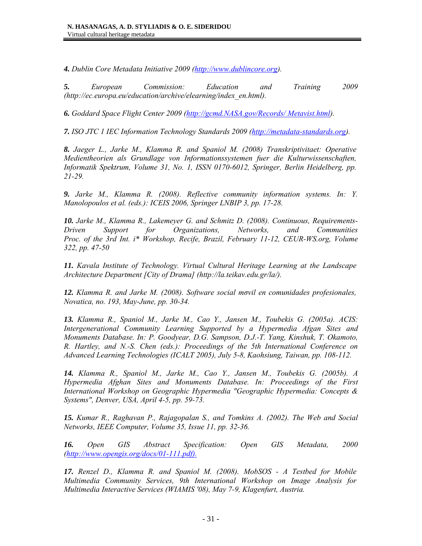*4. Dublin Core Metadata Initiative 2009 (http://www.dublincore.org).* 

*5. European Commission: Education and Training 2009 (http://ec.europa.eu/education/archive/elearning/index\_en.html).* 

*6. Goddard Space Flight Center 2009 (http://gcmd.NASA.gov/Records/ Metavist.html).* 

*7. ISO JTC 1 IEC Information Technology Standards 2009 (http://metadata-standards.org).* 

*8. Jaeger L., Jarke M., Klamma R. and Spaniol M. (2008) Transkriptivitaet: Operative Medientheorien als Grundlage von Informationssystemen fuer die Kulturwissenschaften, Informatik Spektrum, Volume 31, No. 1, ISSN 0170-6012, Springer, Berlin Heidelberg, pp. 21-29.* 

*9. Jarke M., Klamma R. (2008). Reflective community information systems. In: Y. Manolopoulos et al. (eds.): ICEIS 2006, Springer LNBIP 3, pp. 17-28.* 

*10. Jarke M., Klamma R., Lakemeyer G. and Schmitz D. (2008). Continuous, Requirements-Driven Support for Organizations, Networks, and Communities Proc. of the 3rd Int. i\* Workshop, Recife, Brazil, February 11-12, CEUR-WS.org, Volume 322, pp. 47-50* 

*11. Kavala Institute of Technology. Virtual Cultural Heritage Learning at the Landscape Architecture Department [City of Drama] (http://la.teikav.edu.gr/la/).* 

*12. Klamma R. and Jarke M. (2008). Software social mσvil en comunidades profesionales, Novatica, no. 193, May-June, pp. 30-34.* 

*13. Klamma R., Spaniol M., Jarke M., Cao Y., Jansen M., Toubekis G. (2005a). ACIS: Intergenerational Community Learning Supported by a Hypermedia Afgan Sites and Monuments Database. In: P. Goodyear, D.G. Sampson, D.J.-T. Yang, Kinshuk, T. Okamoto, R. Hartley, and N.-S. Chen (eds.): Proceedings of the 5th International Conference on Advanced Learning Technologies (ICALT 2005), July 5-8, Kaohsiung, Taiwan, pp. 108-112.* 

*14. Klamma R., Spaniol M., Jarke M., Cao Y., Jansen M., Toubekis G. (2005b). A Hypermedia Afghan Sites and Monuments Database. In: Proceedings of the First International Workshop on Geographic Hypermedia "Geographic Hypermedia: Concepts & Systems", Denver, USA, April 4-5, pp. 59-73.* 

*15. Kumar R., Raghavan P., Rajagopalan S., and Tomkins A. (2002). The Web and Social Networks, IEEE Computer, Volume 35, Issue 11, pp. 32-36.* 

*16. Open GIS Abstract Specification: Open GIS Metadata, 2000 (http://www.opengis.org/docs/01-111.pdf).*

*17. Renzel D., Klamma R. and Spaniol M. (2008). MobSOS - A Testbed for Mobile Multimedia Community Services, 9th International Workshop on Image Analysis for Multimedia Interactive Services (WIAMIS '08), May 7-9, Klagenfurt, Austria.*